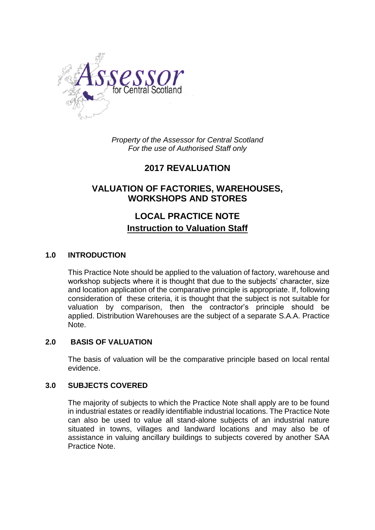

*Property of the Assessor for Central Scotland For the use of Authorised Staff only*

# **2017 REVALUATION**

# **VALUATION OF FACTORIES, WAREHOUSES, WORKSHOPS AND STORES**

# **LOCAL PRACTICE NOTE Instruction to Valuation Staff**

## **1.0 INTRODUCTION**

This Practice Note should be applied to the valuation of factory, warehouse and workshop subjects where it is thought that due to the subjects' character, size and location application of the comparative principle is appropriate. If, following consideration of these criteria, it is thought that the subject is not suitable for valuation by comparison, then the contractor's principle should be applied. Distribution Warehouses are the subject of a separate S.A.A. Practice Note.

## **2.0 BASIS OF VALUATION**

The basis of valuation will be the comparative principle based on local rental evidence.

#### **3.0 SUBJECTS COVERED**

The majority of subjects to which the Practice Note shall apply are to be found in industrial estates or readily identifiable industrial locations. The Practice Note can also be used to value all stand-alone subjects of an industrial nature situated in towns, villages and landward locations and may also be of assistance in valuing ancillary buildings to subjects covered by another SAA Practice Note.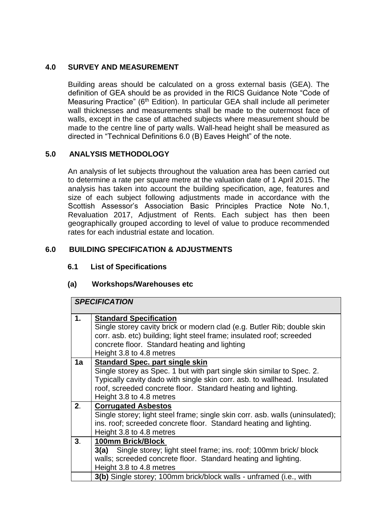## **4.0 SURVEY AND MEASUREMENT**

Building areas should be calculated on a gross external basis (GEA). The definition of GEA should be as provided in the RICS Guidance Note "Code of Measuring Practice" (6<sup>th</sup> Edition). In particular GEA shall include all perimeter wall thicknesses and measurements shall be made to the outermost face of walls, except in the case of attached subjects where measurement should be made to the centre line of party walls. Wall-head height shall be measured as directed in "Technical Definitions 6.0 (B) Eaves Height" of the note.

## **5.0 ANALYSIS METHODOLOGY**

An analysis of let subjects throughout the valuation area has been carried out to determine a rate per square metre at the valuation date of 1 April 2015. The analysis has taken into account the building specification, age, features and size of each subject following adjustments made in accordance with the Scottish Assessor's Association Basic Principles Practice Note No.1, Revaluation 2017, Adjustment of Rents. Each subject has then been geographically grouped according to level of value to produce recommended rates for each industrial estate and location.

# **6.0 BUILDING SPECIFICATION & ADJUSTMENTS**

# **6.1 List of Specifications**

## **(a) Workshops/Warehouses etc**

|                | <b>SPECIFICATION</b>                                                                                                                             |  |
|----------------|--------------------------------------------------------------------------------------------------------------------------------------------------|--|
| 1.             | <b>Standard Specification</b>                                                                                                                    |  |
|                | Single storey cavity brick or modern clad (e.g. Butler Rib; double skin<br>corr. asb. etc) building; light steel frame; insulated roof; screeded |  |
|                | concrete floor. Standard heating and lighting                                                                                                    |  |
|                | Height 3.8 to 4.8 metres                                                                                                                         |  |
| 1a             | <b>Standard Spec. part single skin</b>                                                                                                           |  |
|                | Single storey as Spec. 1 but with part single skin similar to Spec. 2.                                                                           |  |
|                | Typically cavity dado with single skin corr. asb. to wallhead. Insulated                                                                         |  |
|                | roof, screeded concrete floor. Standard heating and lighting.                                                                                    |  |
|                | Height 3.8 to 4.8 metres                                                                                                                         |  |
| 2 <sub>1</sub> | <b>Corrugated Asbestos</b>                                                                                                                       |  |
|                | Single storey; light steel frame; single skin corr. asb. walls (uninsulated);                                                                    |  |
|                | ins. roof; screeded concrete floor. Standard heating and lighting.                                                                               |  |
|                | Height 3.8 to 4.8 metres                                                                                                                         |  |
| 3.             | 100mm Brick/Block                                                                                                                                |  |
|                | Single storey; light steel frame; ins. roof; 100mm brick/ block<br>3(a)                                                                          |  |
|                | walls; screeded concrete floor. Standard heating and lighting.                                                                                   |  |
|                | Height 3.8 to 4.8 metres                                                                                                                         |  |
|                | 3(b) Single storey; 100mm brick/block walls - unframed (i.e., with                                                                               |  |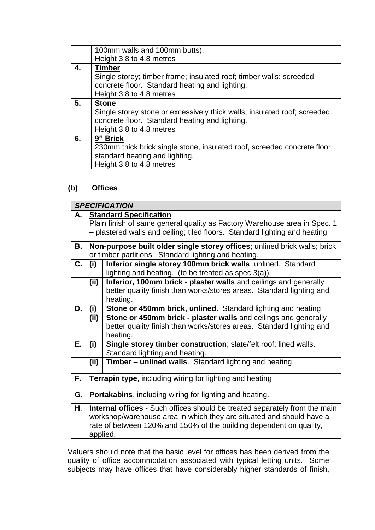|    | 100mm walls and 100mm butts).                                            |  |  |
|----|--------------------------------------------------------------------------|--|--|
|    | Height 3.8 to 4.8 metres                                                 |  |  |
| 4. | <b>Timber</b>                                                            |  |  |
|    | Single storey; timber frame; insulated roof; timber walls; screeded      |  |  |
|    | concrete floor. Standard heating and lighting.                           |  |  |
|    | Height 3.8 to 4.8 metres                                                 |  |  |
| 5. | <b>Stone</b>                                                             |  |  |
|    | Single storey stone or excessively thick walls; insulated roof; screeded |  |  |
|    | concrete floor. Standard heating and lighting.                           |  |  |
|    | Height 3.8 to 4.8 metres                                                 |  |  |
| 6. | 9" Brick                                                                 |  |  |
|    | 230mm thick brick single stone, insulated roof, screeded concrete floor, |  |  |
|    | standard heating and lighting.                                           |  |  |
|    | Height 3.8 to 4.8 metres                                                 |  |  |

# **(b) Offices**

|    | <b>SPECIFICATION</b>                                                                                      |                                                                 |  |
|----|-----------------------------------------------------------------------------------------------------------|-----------------------------------------------------------------|--|
| А. | <b>Standard Specification</b>                                                                             |                                                                 |  |
|    | Plain finish of same general quality as Factory Warehouse area in Spec. 1                                 |                                                                 |  |
|    | - plastered walls and ceiling; tiled floors. Standard lighting and heating                                |                                                                 |  |
| В. | Non-purpose built older single storey offices; unlined brick walls; brick                                 |                                                                 |  |
|    | or timber partitions. Standard lighting and heating.                                                      |                                                                 |  |
| C. | Inferior single storey 100mm brick walls; unlined. Standard<br>(i)                                        |                                                                 |  |
|    | lighting and heating. (to be treated as spec 3(a))                                                        |                                                                 |  |
|    | Inferior, 100mm brick - plaster walls and ceilings and generally<br>(ii)                                  |                                                                 |  |
|    | better quality finish than works/stores areas. Standard lighting and                                      |                                                                 |  |
|    | heating.                                                                                                  |                                                                 |  |
| D. | Stone or 450mm brick, unlined. Standard lighting and heating<br>(i)                                       |                                                                 |  |
|    | (ii)                                                                                                      | Stone or 450mm brick - plaster walls and ceilings and generally |  |
|    | better quality finish than works/stores areas. Standard lighting and                                      |                                                                 |  |
|    | heating.                                                                                                  |                                                                 |  |
| Е. | Single storey timber construction; slate/felt roof; lined walls.<br>(i)<br>Standard lighting and heating. |                                                                 |  |
|    | (ii)                                                                                                      | Timber - unlined walls. Standard lighting and heating.          |  |
|    |                                                                                                           |                                                                 |  |
| F. | Terrapin type, including wiring for lighting and heating                                                  |                                                                 |  |
|    |                                                                                                           |                                                                 |  |
| G. | <b>Portakabins, including wiring for lighting and heating.</b>                                            |                                                                 |  |
| Н. | Internal offices - Such offices should be treated separately from the main                                |                                                                 |  |
|    | workshop/warehouse area in which they are situated and should have a                                      |                                                                 |  |
|    | rate of between 120% and 150% of the building dependent on quality,                                       |                                                                 |  |
|    | applied.                                                                                                  |                                                                 |  |

Valuers should note that the basic level for offices has been derived from the quality of office accommodation associated with typical letting units. Some subjects may have offices that have considerably higher standards of finish,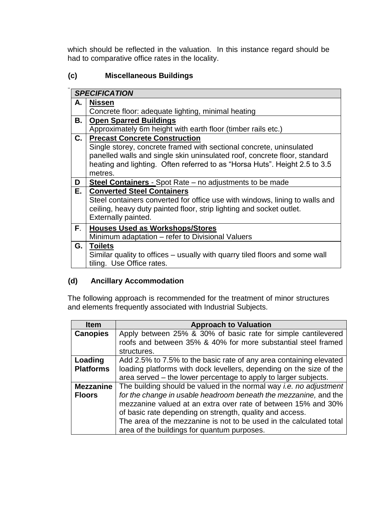which should be reflected in the valuation. In this instance regard should be had to comparative office rates in the locality.

# **(c) Miscellaneous Buildings**

|      | <b>SPECIFICATION</b>                                                        |  |  |
|------|-----------------------------------------------------------------------------|--|--|
| А.   | <b>Nissen</b>                                                               |  |  |
|      | Concrete floor: adequate lighting, minimal heating                          |  |  |
| В.   | <b>Open Sparred Buildings</b>                                               |  |  |
|      | Approximately 6m height with earth floor (timber rails etc.)                |  |  |
| C. I | <b>Precast Concrete Construction</b>                                        |  |  |
|      | Single storey, concrete framed with sectional concrete, uninsulated         |  |  |
|      | panelled walls and single skin uninsulated roof, concrete floor, standard   |  |  |
|      | heating and lighting. Often referred to as "Horsa Huts". Height 2.5 to 3.5  |  |  |
|      | metres.                                                                     |  |  |
| D    | <b>Steel Containers</b> - Spot Rate – no adjustments to be made             |  |  |
| Е.   | <b>Converted Steel Containers</b>                                           |  |  |
|      | Steel containers converted for office use with windows, lining to walls and |  |  |
|      | ceiling, heavy duty painted floor, strip lighting and socket outlet.        |  |  |
|      | Externally painted.                                                         |  |  |
| F.   | <b>Houses Used as Workshops/Stores</b>                                      |  |  |
|      | Minimum adaptation – refer to Divisional Valuers                            |  |  |
| G. I | <b>Toilets</b>                                                              |  |  |
|      | Similar quality to offices – usually with quarry tiled floors and some wall |  |  |
|      | tiling. Use Office rates.                                                   |  |  |

# **(d) Ancillary Accommodation**

The following approach is recommended for the treatment of minor structures and elements frequently associated with Industrial Subjects.

| <b>Item</b>      | <b>Approach to Valuation</b>                                              |  |
|------------------|---------------------------------------------------------------------------|--|
| <b>Canopies</b>  | Apply between 25% & 30% of basic rate for simple cantilevered             |  |
|                  | roofs and between 35% & 40% for more substantial steel framed             |  |
|                  | structures.                                                               |  |
| Loading          | Add 2.5% to 7.5% to the basic rate of any area containing elevated        |  |
| <b>Platforms</b> | loading platforms with dock levellers, depending on the size of the       |  |
|                  | area served – the lower percentage to apply to larger subjects.           |  |
| <b>Mezzanine</b> | The building should be valued in the normal way <i>i.e. no adjustment</i> |  |
| <b>Floors</b>    | for the change in usable headroom beneath the mezzanine, and the          |  |
|                  | mezzanine valued at an extra over rate of between 15% and 30%             |  |
|                  | of basic rate depending on strength, quality and access.                  |  |
|                  | The area of the mezzanine is not to be used in the calculated total       |  |
|                  | area of the buildings for quantum purposes.                               |  |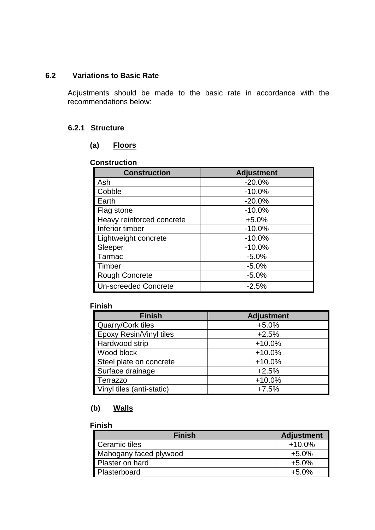## **6.2 Variations to Basic Rate**

Adjustments should be made to the basic rate in accordance with the recommendations below:

## **6.2.1 Structure**

#### **(a) Floors**

## **Construction**

| <b>Construction</b>         | <b>Adjustment</b> |
|-----------------------------|-------------------|
| Ash                         | $-20.0%$          |
| Cobble                      | $-10.0%$          |
| Earth                       | $-20.0%$          |
| Flag stone                  | $-10.0%$          |
| Heavy reinforced concrete   | $+5.0%$           |
| Inferior timber             | $-10.0%$          |
| Lightweight concrete        | $-10.0%$          |
| Sleeper                     | $-10.0%$          |
| Tarmac                      | $-5.0%$           |
| Timber                      | $-5.0%$           |
| <b>Rough Concrete</b>       | $-5.0%$           |
| <b>Un-screeded Concrete</b> | $-2.5%$           |

#### **Finish**

| <b>Finish</b>                  | <b>Adjustment</b> |
|--------------------------------|-------------------|
| <b>Quarry/Cork tiles</b>       | $+5.0%$           |
| <b>Epoxy Resin/Vinyl tiles</b> | $+2.5%$           |
| Hardwood strip                 | $+10.0%$          |
| Wood block                     | $+10.0%$          |
| Steel plate on concrete        | $+10.0%$          |
| Surface drainage               | $+2.5%$           |
| <b>Terrazzo</b>                | $+10.0%$          |
| Vinyl tiles (anti-static)      | $+7.5%$           |

# **(b) Walls**

#### **Finish**

| <b>Finish</b>          | <b>Adjustment</b> |
|------------------------|-------------------|
| Ceramic tiles          | $+10.0\%$         |
| Mahogany faced plywood | $+5.0%$           |
| Plaster on hard        | $+5.0%$           |
| Plasterboard           | $+5.0%$           |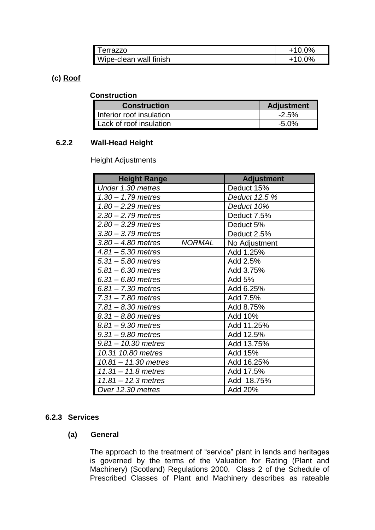| l errazzo              | $+10.0\%$ |
|------------------------|-----------|
| Wipe-clean wall finish | $+10.0\%$ |

## **(c) Roof**

## **Construction**

| <b>Construction</b>      | <b>Adjustment</b> |
|--------------------------|-------------------|
| Inferior roof insulation | $-2.5\%$          |
| Lack of roof insulation  | -5.0%             |

# **6.2.2 Wall-Head Height**

Height Adjustments

| <b>Height Range</b>                   | <b>Adjustment</b> |
|---------------------------------------|-------------------|
| Under 1.30 metres                     | Deduct 15%        |
| $1.30 - 1.79$ metres                  | Deduct 12.5 %     |
| $1.80 - 2.29$ metres                  | Deduct 10%        |
| $2.30 - 2.79$ metres                  | Deduct 7.5%       |
| $2.80 - 3.29$ metres                  | Deduct 5%         |
| $3.30 - 3.79$ metres                  | Deduct 2.5%       |
| <b>NORMAL</b><br>$3.80 - 4.80$ metres | No Adjustment     |
| $4.81 - 5.30$ metres                  | Add 1.25%         |
| $5.31 - 5.80$ metres                  | Add 2.5%          |
| $5.81 - 6.30$ metres                  | Add 3.75%         |
| $6.31 - 6.80$ metres                  | Add 5%            |
| $6.81 - 7.30$ metres                  | Add 6.25%         |
| $7.31 - 7.80$ metres                  | Add 7.5%          |
| $7.81 - 8.30$ metres                  | Add 8.75%         |
| $8.31 - 8.80$ metres                  | Add 10%           |
| 8.81 - 9.30 metres                    | Add 11.25%        |
| $9.31 - 9.80$ metres                  | Add 12.5%         |
| $9.81 - 10.30$ metres                 | Add 13.75%        |
| 10.31-10.80 metres                    | Add 15%           |
| $10.81 - 11.30$ metres                | Add 16.25%        |
| $11.31 - 11.8$ metres                 | Add 17.5%         |
| $11.81 - 12.3$ metres                 | Add 18.75%        |
| Over 12.30 metres                     | Add 20%           |

## **6.2.3 Services**

## **(a) General**

The approach to the treatment of "service" plant in lands and heritages is governed by the terms of the Valuation for Rating (Plant and Machinery) (Scotland) Regulations 2000. Class 2 of the Schedule of Prescribed Classes of Plant and Machinery describes as rateable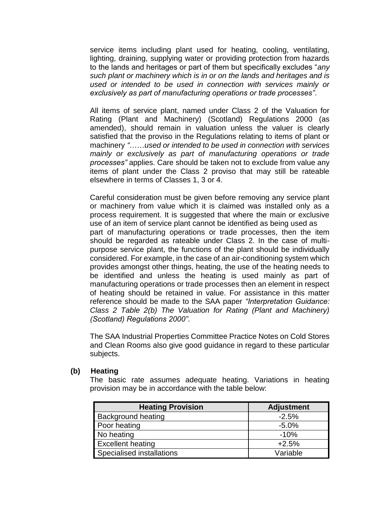service items including plant used for heating, cooling, ventilating, lighting, draining, supplying water or providing protection from hazards to the lands and heritages or part of them but specifically excludes "*any such plant or machinery which is in or on the lands and heritages and is used or intended to be used in connection with services mainly or exclusively as part of manufacturing operations or trade processes"*.

All items of service plant, named under Class 2 of the Valuation for Rating (Plant and Machinery) (Scotland) Regulations 2000 (as amended), should remain in valuation unless the valuer is clearly satisfied that the proviso in the Regulations relating to items of plant or machinery *"*……*used or intended to be used in connection with services mainly or exclusively as part of manufacturing operations or trade processes"* applies. Care should be taken not to exclude from value any items of plant under the Class 2 proviso that may still be rateable elsewhere in terms of Classes 1, 3 or 4.

Careful consideration must be given before removing any service plant or machinery from value which it is claimed was installed only as a process requirement. It is suggested that where the main or exclusive use of an item of service plant cannot be identified as being used as part of manufacturing operations or trade processes, then the item should be regarded as rateable under Class 2. In the case of multipurpose service plant, the functions of the plant should be individually considered. For example, in the case of an air-conditioning system which provides amongst other things, heating, the use of the heating needs to be identified and unless the heating is used mainly as part of manufacturing operations or trade processes then an element in respect of heating should be retained in value. For assistance in this matter reference should be made to the SAA paper *"Interpretation Guidance: Class 2 Table 2(b) The Valuation for Rating (Plant and Machinery) (Scotland) Regulations 2000"*.

The SAA Industrial Properties Committee Practice Notes on Cold Stores and Clean Rooms also give good guidance in regard to these particular subjects.

#### **(b) Heating**

The basic rate assumes adequate heating. Variations in heating provision may be in accordance with the table below:

| <b>Heating Provision</b>         | <b>Adjustment</b> |
|----------------------------------|-------------------|
| <b>Background heating</b>        | $-2.5%$           |
| Poor heating                     | $-5.0%$           |
| No heating                       | $-10%$            |
| <b>Excellent heating</b>         | $+2.5%$           |
| <b>Specialised installations</b> | Variable          |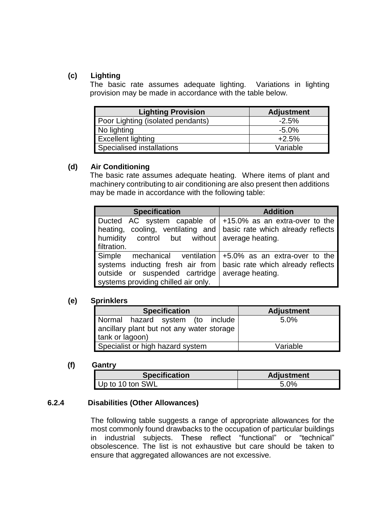# **(c) Lighting**

The basic rate assumes adequate lighting. Variations in lighting provision may be made in accordance with the table below.

| <b>Lighting Provision</b>         | <b>Adjustment</b> |
|-----------------------------------|-------------------|
| Poor Lighting (isolated pendants) | $-2.5%$           |
| No lighting                       | $-5.0%$           |
| <b>Excellent lighting</b>         | $+2.5%$           |
| Specialised installations         | Variable          |

## **(d) Air Conditioning**

The basic rate assumes adequate heating. Where items of plant and machinery contributing to air conditioning are also present then additions may be made in accordance with the following table:

| <b>Specification</b>                                                  | <b>Addition</b>  |
|-----------------------------------------------------------------------|------------------|
| Ducted AC system capable of $ +15.0\%$ as an extra-over to the        |                  |
| heating, cooling, ventilating and   basic rate which already reflects |                  |
| humidity control but without average heating.                         |                  |
| filtration.                                                           |                  |
| Simple mechanical ventilation $+5.0\%$ as an extra-over to the        |                  |
| systems inducting fresh air from   basic rate which already reflects  |                  |
| outside or suspended cartridge                                        | average heating. |
| systems providing chilled air only.                                   |                  |

## **(e) Sprinklers**

| <b>Specification</b>                                                                             | <b>Adjustment</b> |
|--------------------------------------------------------------------------------------------------|-------------------|
| Normal hazard system (to include<br>ancillary plant but not any water storage<br>tank or lagoon) | 5.0%              |
| Specialist or high hazard system                                                                 | Variable          |

## **(f) Gantry**

| <b>Specification</b> | <b>Adjustment</b> |
|----------------------|-------------------|
| Up to 10 ton SWL     | 5.0%              |

## **6.2.4 Disabilities (Other Allowances)**

The following table suggests a range of appropriate allowances for the most commonly found drawbacks to the occupation of particular buildings in industrial subjects. These reflect "functional" or "technical" obsolescence. The list is not exhaustive but care should be taken to ensure that aggregated allowances are not excessive*.*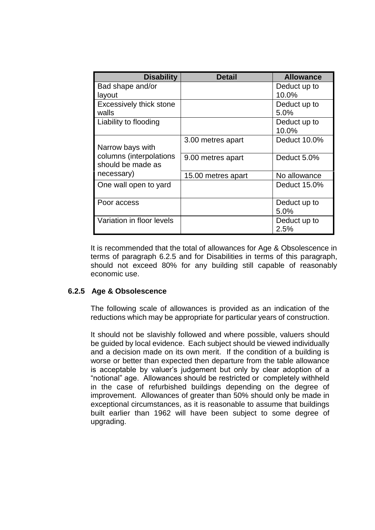| <b>Disability</b>         | <b>Detail</b>      | <b>Allowance</b> |
|---------------------------|--------------------|------------------|
| Bad shape and/or          |                    | Deduct up to     |
| layout                    |                    | 10.0%            |
| Excessively thick stone   |                    | Deduct up to     |
| walls                     |                    | 5.0%             |
| Liability to flooding     |                    | Deduct up to     |
|                           |                    | 10.0%            |
|                           | 3.00 metres apart  | Deduct 10.0%     |
| Narrow bays with          |                    |                  |
| columns (interpolations   | 9.00 metres apart  | Deduct 5.0%      |
| should be made as         |                    |                  |
| necessary)                | 15.00 metres apart | No allowance     |
| One wall open to yard     |                    | Deduct 15.0%     |
|                           |                    |                  |
| Poor access               |                    | Deduct up to     |
|                           |                    | 5.0%             |
| Variation in floor levels |                    | Deduct up to     |
|                           |                    | 2.5%             |

It is recommended that the total of allowances for Age & Obsolescence in terms of paragraph 6.2.5 and for Disabilities in terms of this paragraph, should not exceed 80% for any building still capable of reasonably economic use.

## **6.2.5 Age & Obsolescence**

The following scale of allowances is provided as an indication of the reductions which may be appropriate for particular years of construction.

It should not be slavishly followed and where possible, valuers should be guided by local evidence. Each subject should be viewed individually and a decision made on its own merit. If the condition of a building is worse or better than expected then departure from the table allowance is acceptable by valuer's judgement but only by clear adoption of a "notional" age. Allowances should be restricted or completely withheld in the case of refurbished buildings depending on the degree of improvement. Allowances of greater than 50% should only be made in exceptional circumstances, as it is reasonable to assume that buildings built earlier than 1962 will have been subject to some degree of upgrading.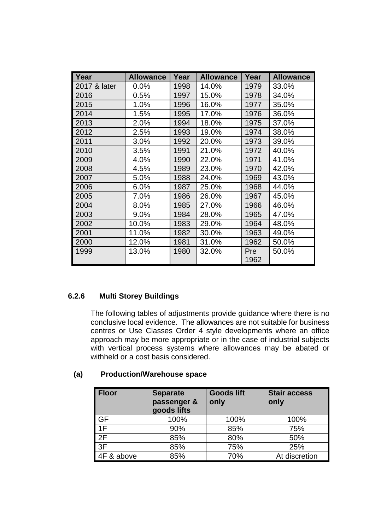| Year         | <b>Allowance</b> | Year | <b>Allowance</b> | Year | <b>Allowance</b> |
|--------------|------------------|------|------------------|------|------------------|
| 2017 & later | 0.0%             | 1998 | 14.0%            | 1979 | 33.0%            |
| 2016         | 0.5%             | 1997 | 15.0%            | 1978 | 34.0%            |
| 2015         | 1.0%             | 1996 | 16.0%            | 1977 | 35.0%            |
| 2014         | 1.5%             | 1995 | 17.0%            | 1976 | 36.0%            |
| 2013         | 2.0%             | 1994 | 18.0%            | 1975 | 37.0%            |
| 2012         | 2.5%             | 1993 | 19.0%            | 1974 | 38.0%            |
| 2011         | 3.0%             | 1992 | 20.0%            | 1973 | 39.0%            |
| 2010         | 3.5%             | 1991 | 21.0%            | 1972 | 40.0%            |
| 2009         | 4.0%             | 1990 | 22.0%            | 1971 | 41.0%            |
| 2008         | 4.5%             | 1989 | 23.0%            | 1970 | 42.0%            |
| 2007         | 5.0%             | 1988 | 24.0%            | 1969 | 43.0%            |
| 2006         | 6.0%             | 1987 | 25.0%            | 1968 | 44.0%            |
| 2005         | 7.0%             | 1986 | 26.0%            | 1967 | 45.0%            |
| 2004         | 8.0%             | 1985 | 27.0%            | 1966 | 46.0%            |
| 2003         | 9.0%             | 1984 | 28.0%            | 1965 | 47.0%            |
| 2002         | 10.0%            | 1983 | 29.0%            | 1964 | 48.0%            |
| 2001         | 11.0%            | 1982 | 30.0%            | 1963 | 49.0%            |
| 2000         | 12.0%            | 1981 | 31.0%            | 1962 | 50.0%            |
| 1999         | 13.0%            | 1980 | 32.0%            | Pre  | 50.0%            |
|              |                  |      |                  | 1962 |                  |

# **6.2.6 Multi Storey Buildings**

The following tables of adjustments provide guidance where there is no conclusive local evidence. The allowances are not suitable for business centres or Use Classes Order 4 style developments where an office approach may be more appropriate or in the case of industrial subjects with vertical process systems where allowances may be abated or withheld or a cost basis considered.

| (a) | <b>Production/Warehouse space</b> |  |
|-----|-----------------------------------|--|
|-----|-----------------------------------|--|

| <b>Floor</b> | <b>Separate</b><br>passenger &<br>goods lifts | <b>Goods lift</b><br>only | <b>Stair access</b><br>only |
|--------------|-----------------------------------------------|---------------------------|-----------------------------|
| GF           | 100%                                          | 100%                      | 100%                        |
| 1F           | 90%                                           | 85%                       | 75%                         |
| 2F           | 85%                                           | 80%                       | 50%                         |
| 3F           | 85%                                           | 75%                       | 25%                         |
| 4F & above   | 85%                                           | 70%                       | At discretion               |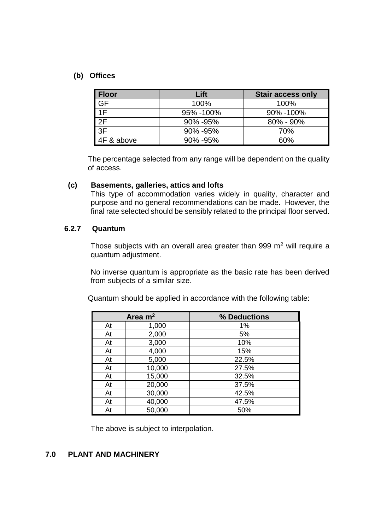#### **(b) Offices**

| <b>Floor</b>     | Lift      | <b>Stair access only</b> |
|------------------|-----------|--------------------------|
| <b>GF</b>        | 100%      | 100%                     |
| 1F               | 95% -100% | 90% -100%                |
| 2F               | 90% - 95% | $80\% - 90\%$            |
| $\overline{3}$ F | 90% - 95% | 70%                      |
| 4F & above       | 90% - 95% | 60%                      |

The percentage selected from any range will be dependent on the quality of access.

#### **(c) Basements, galleries, attics and lofts**

This type of accommodation varies widely in quality, character and purpose and no general recommendations can be made. However, the final rate selected should be sensibly related to the principal floor served.

#### **6.2.7 Quantum**

Those subjects with an overall area greater than 999  $m<sup>2</sup>$  will require a quantum adjustment.

No inverse quantum is appropriate as the basic rate has been derived from subjects of a similar size.

Quantum should be applied in accordance with the following table:

|    | Area $m2$ | % Deductions |
|----|-----------|--------------|
| At | 1,000     | 1%           |
| At | 2,000     | 5%           |
| At | 3,000     | 10%          |
| At | 4,000     | 15%          |
| At | 5,000     | 22.5%        |
| At | 10,000    | 27.5%        |
| At | 15,000    | 32.5%        |
| At | 20,000    | 37.5%        |
| At | 30,000    | 42.5%        |
| At | 40,000    | 47.5%        |
| At | 50,000    | 50%          |

The above is subject to interpolation.

## **7.0 PLANT AND MACHINERY**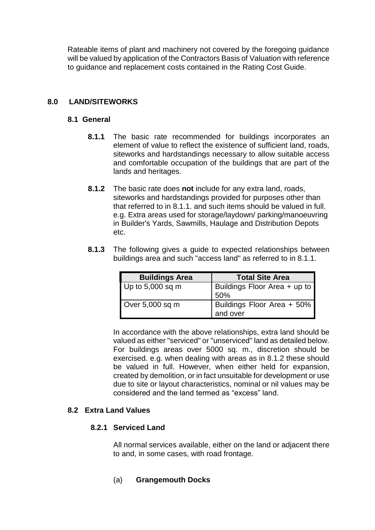Rateable items of plant and machinery not covered by the foregoing guidance will be valued by application of the Contractors Basis of Valuation with reference to guidance and replacement costs contained in the Rating Cost Guide.

## **8.0 LAND/SITEWORKS**

## **8.1 General**

- **8.1.1** The basic rate recommended for buildings incorporates an element of value to reflect the existence of sufficient land, roads, siteworks and hardstandings necessary to allow suitable access and comfortable occupation of the buildings that are part of the lands and heritages.
- **8.1.2** The basic rate does **not** include for any extra land, roads, siteworks and hardstandings provided for purposes other than that referred to in 8.1.1. and such items should be valued in full. e.g. Extra areas used for storage/laydown/ parking/manoeuvring in Builder's Yards, Sawmills, Haulage and Distribution Depots etc.
- **8.1.3** The following gives a guide to expected relationships between buildings area and such "access land" as referred to in 8.1.1.

| <b>Buildings Area</b> | <b>Total Site Area</b>                 |
|-----------------------|----------------------------------------|
| Up to $5,000$ sq m    | Buildings Floor Area + up to<br>50%    |
| Over $5,000$ sq m     | Buildings Floor Area + 50%<br>and over |

In accordance with the above relationships, extra land should be valued as either "serviced" or "unserviced" land as detailed below. For buildings areas over 5000 sq. m., discretion should be exercised. e.g. when dealing with areas as in 8.1.2 these should be valued in full. However, when either held for expansion, created by demolition, or in fact unsuitable for development or use due to site or layout characteristics, nominal or nil values may be considered and the land termed as "excess" land.

## **8.2 Extra Land Values**

## **8.2.1 Serviced Land**

All normal services available, either on the land or adjacent there to and, in some cases, with road frontage.

(a) **Grangemouth Docks**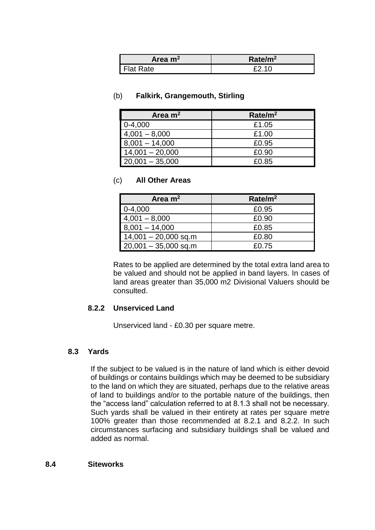| Area $m2$ | Rate/m <sup>2</sup> |
|-----------|---------------------|
| Flat Rate | f210                |

#### (b) **Falkirk, Grangemouth, Stirling**

| Area $m2$         | Rate/m <sup>2</sup> |
|-------------------|---------------------|
| $0-4,000$         | £1.05               |
| $4,001 - 8,000$   | £1.00               |
| $8,001 - 14,000$  | £0.95               |
| $14,001 - 20,000$ | £0.90               |
| $20,001 - 35,000$ | £0.85               |

#### (c) **All Other Areas**

| Area $m2$              | Rate/m <sup>2</sup> |
|------------------------|---------------------|
| $0-4,000$              | £0.95               |
| $4,001 - 8,000$        | £0.90               |
| $8,001 - 14,000$       | £0.85               |
| $14,001 - 20,000$ sq.m | £0.80               |
| $20,001 - 35,000$ sq.m | £0.75               |

Rates to be applied are determined by the total extra land area to be valued and should not be applied in band layers. In cases of land areas greater than 35,000 m2 Divisional Valuers should be consulted.

## **8.2.2 Unserviced Land**

Unserviced land - £0.30 per square metre.

## **8.3 Yards**

If the subject to be valued is in the nature of land which is either devoid of buildings or contains buildings which may be deemed to be subsidiary to the land on which they are situated, perhaps due to the relative areas of land to buildings and/or to the portable nature of the buildings, then the "access land" calculation referred to at 8.1.3 shall not be necessary. Such yards shall be valued in their entirety at rates per square metre 100% greater than those recommended at 8.2.1 and 8.2.2. In such circumstances surfacing and subsidiary buildings shall be valued and added as normal.

#### **8.4 Siteworks**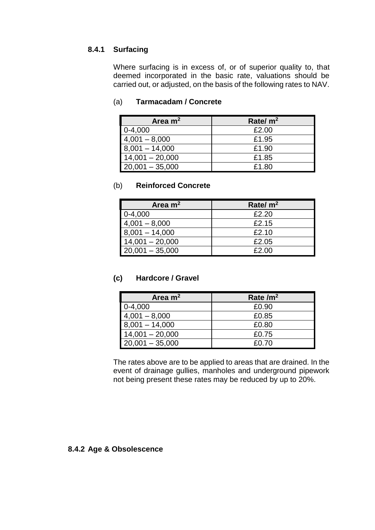## **8.4.1 Surfacing**

Where surfacing is in excess of, or of superior quality to, that deemed incorporated in the basic rate, valuations should be carried out, or adjusted, on the basis of the following rates to NAV.

## (a) **Tarmacadam / Concrete**

| Area $m2$         | Rate/ $m2$ |
|-------------------|------------|
| $0-4,000$         | £2.00      |
| $4,001 - 8,000$   | £1.95      |
| $8,001 - 14,000$  | £1.90      |
| $14,001 - 20,000$ | £1.85      |
| $20,001 - 35,000$ | £1.80      |

## (b) **Reinforced Concrete**

| Area $m2$         | Rate/ $m2$ |
|-------------------|------------|
| $0-4,000$         | £2.20      |
| $4,001 - 8,000$   | £2.15      |
| $8,001 - 14,000$  | £2.10      |
| $14,001 - 20,000$ | £2.05      |
| $20,001 - 35,000$ | £2.00      |

## **(c) Hardcore / Gravel**

| Area $m2$         | Rate $/m2$ |
|-------------------|------------|
| $0-4,000$         | £0.90      |
| $4,001 - 8,000$   | £0.85      |
| $8,001 - 14,000$  | £0.80      |
| $14,001 - 20,000$ | £0.75      |
| $20,001 - 35,000$ | £0.70      |

The rates above are to be applied to areas that are drained. In the event of drainage gullies, manholes and underground pipework not being present these rates may be reduced by up to 20%.

#### **8.4.2 Age & Obsolescence**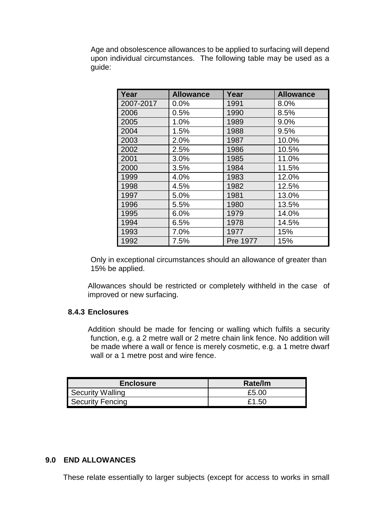Age and obsolescence allowances to be applied to surfacing will depend upon individual circumstances. The following table may be used as a guide:

| Year      | <b>Allowance</b> | Year     | <b>Allowance</b> |
|-----------|------------------|----------|------------------|
| 2007-2017 | 0.0%             | 1991     | 8.0%             |
| 2006      | 0.5%             | 1990     | 8.5%             |
| 2005      | 1.0%             | 1989     | 9.0%             |
| 2004      | 1.5%             | 1988     | 9.5%             |
| 2003      | 2.0%             | 1987     | 10.0%            |
| 2002      | 2.5%             | 1986     | 10.5%            |
| 2001      | 3.0%             | 1985     | 11.0%            |
| 2000      | 3.5%             | 1984     | 11.5%            |
| 1999      | 4.0%             | 1983     | 12.0%            |
| 1998      | 4.5%             | 1982     | 12.5%            |
| 1997      | 5.0%             | 1981     | 13.0%            |
| 1996      | 5.5%             | 1980     | 13.5%            |
| 1995      | 6.0%             | 1979     | 14.0%            |
| 1994      | 6.5%             | 1978     | 14.5%            |
| 1993      | 7.0%             | 1977     | 15%              |
| 1992      | 7.5%             | Pre 1977 | 15%              |

Only in exceptional circumstances should an allowance of greater than 15% be applied.

Allowances should be restricted or completely withheld in the case of improved or new surfacing.

#### **8.4.3 Enclosures**

Addition should be made for fencing or walling which fulfils a security function, e.g. a 2 metre wall or 2 metre chain link fence. No addition will be made where a wall or fence is merely cosmetic, e.g. a 1 metre dwarf wall or a 1 metre post and wire fence.

| <b>Enclosure</b> | Rate/lm |
|------------------|---------|
| Security Walling | £5.00   |
| Security Fencing | £1.50   |

#### **9.0 END ALLOWANCES**

These relate essentially to larger subjects (except for access to works in small